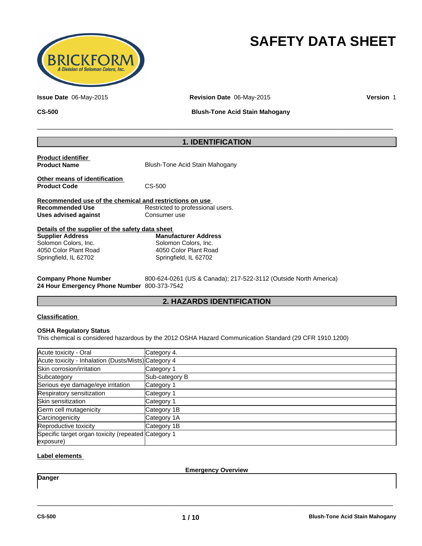

# **SAFETY DATA SHEET**

**Issue Date** 06-May-2015 **Revision Date** 06-May-2015 **Version** 1

**CS-500 Blush-Tone Acid Stain Mahogany**

 $\overline{\phantom{a}}$  ,  $\overline{\phantom{a}}$  ,  $\overline{\phantom{a}}$  ,  $\overline{\phantom{a}}$  ,  $\overline{\phantom{a}}$  ,  $\overline{\phantom{a}}$  ,  $\overline{\phantom{a}}$  ,  $\overline{\phantom{a}}$  ,  $\overline{\phantom{a}}$  ,  $\overline{\phantom{a}}$  ,  $\overline{\phantom{a}}$  ,  $\overline{\phantom{a}}$  ,  $\overline{\phantom{a}}$  ,  $\overline{\phantom{a}}$  ,  $\overline{\phantom{a}}$  ,  $\overline{\phantom{a}}$ 

# **1. IDENTIFICATION**

| <b>Product identifier</b><br><b>Product Name</b>        | Blush-Tone Acid Stain Mahogany    |  |  |  |
|---------------------------------------------------------|-----------------------------------|--|--|--|
| Other means of identification<br><b>Product Code</b>    | CS-500                            |  |  |  |
| Recommended use of the chemical and restrictions on use |                                   |  |  |  |
| <b>Recommended Use</b>                                  | Restricted to professional users. |  |  |  |
| Uses advised against                                    | Consumer use                      |  |  |  |
| Details of the supplier of the safety data sheet        |                                   |  |  |  |
| <b>Supplier Address</b>                                 | <b>Manufacturer Address</b>       |  |  |  |
| Solomon Colors, Inc.                                    | Solomon Colors, Inc.              |  |  |  |

| <b>Supplier Address</b> | Mai |
|-------------------------|-----|
| Solomon Colors, Inc.    | Sol |
| 4050 Color Plant Road   | 405 |
| Springfield, IL 62702   | Spr |

**Company Phone Number** 800-624-0261 (US & Canada); 217-522-3112 (Outside North America) **24 Hour Emergency Phone Number** 800-373-7542

# **2. HAZARDS IDENTIFICATION**

#### **Classification**

#### **OSHA Regulatory Status**

This chemical is considered hazardous by the 2012 OSHA Hazard Communication Standard (29 CFR 1910.1200)

4050 Color Plant Road Springfield, IL 62702

| Acute toxicity - Oral                                            | Category 4.    |
|------------------------------------------------------------------|----------------|
| Acute toxicity - Inhalation (Dusts/Mists) Category 4             |                |
| Skin corrosion/irritation                                        | Category 1     |
| Subcategory                                                      | Sub-category B |
| Serious eye damage/eye irritation                                | Category 1     |
| Respiratory sensitization                                        | Category 1     |
| Skin sensitization                                               | Category 1     |
| Germ cell mutagenicity                                           | Category 1B    |
| Carcinogenicity                                                  | Category 1A    |
| Reproductive toxicity                                            | Category 1B    |
| Specific target organ toxicity (repeated Category 1<br>exposure) |                |

### **Label elements**

\_\_\_\_\_\_\_\_\_\_\_\_\_\_\_\_\_\_\_\_\_\_\_\_\_\_\_\_\_\_\_\_\_\_\_\_\_\_\_\_\_\_\_\_\_\_\_\_\_\_\_\_\_\_\_\_\_\_\_\_\_\_\_\_\_\_\_\_\_\_\_\_\_\_\_\_\_\_\_\_\_\_\_\_\_\_\_\_\_\_\_\_\_ **Emergency Overview**

**Danger**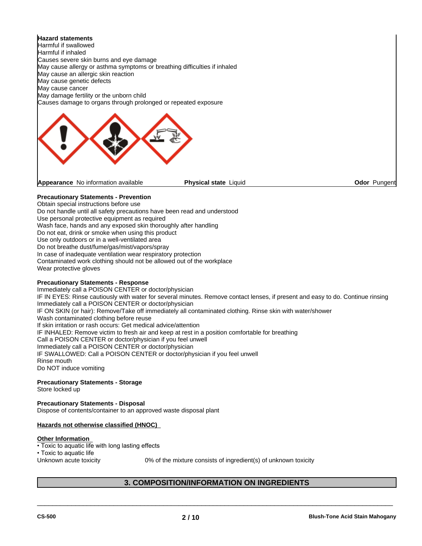**Hazard statements** Harmful if swallowed Harmful if inhaled Causes severe skin burns and eye damage May cause allergy or asthma symptoms or breathing difficulties if inhaled May cause an allergic skin reaction May cause genetic defects May cause cancer May damage fertility or the unborn child Causes damage to organs through prolonged or repeated exposure

**Appearance** No information available

#### **Physical state** Liquid **CODE 2018 Odor Pungent**

#### **Precautionary Statements - Prevention**

Obtain special instructions before use

Do not handle until all safety precautions have been read and understood

Use personal protective equipment as required

Wash face, hands and any exposed skin thoroughly after handling

Do not eat, drink or smoke when using this product

Use only outdoors or in a well-ventilated area

Do not breathe dust/fume/gas/mist/vapors/spray

In case of inadequate ventilation wear respiratory protection

Contaminated work clothing should not be allowed out of the workplace

Wear protective gloves

#### **Precautionary Statements - Response**

Immediately call a POISON CENTER or doctor/physician IF IN EYES: Rinse cautiously with water for several minutes. Remove contact lenses, if present and easy to do. Continue rinsing Immediately call a POISON CENTER or doctor/physician IF ON SKIN (or hair): Remove/Take off immediately all contaminated clothing. Rinse skin with water/shower Wash contaminated clothing before reuse If skin irritation or rash occurs: Get medical advice/attention IF INHALED: Remove victim to fresh air and keep at rest in a position comfortable for breathing Call a POISON CENTER or doctor/physician if you feel unwell Immediately call a POISON CENTER or doctor/physician IF SWALLOWED: Call a POISON CENTER or doctor/physician if you feel unwell Rinse mouth Do NOT induce vomiting

#### **Precautionary Statements - Storage**

Store locked up

**Precautionary Statements - Disposal** Dispose of contents/container to an approved waste disposal plant

#### **Hazards not otherwise classified (HNOC)**

#### **Other Information**

• Toxic to aquatic life with long lasting effects • Toxic to aquatic life Unknown acute toxicity 0% of the mixture consists of ingredient(s) of unknown toxicity

# **3. COMPOSITION/INFORMATION ON INGREDIENTS**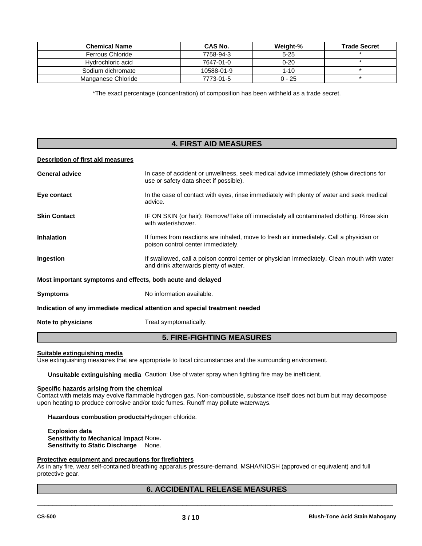| <b>Chemical Name</b> | <b>CAS No.</b> | Weight-% | <b>Trade Secret</b> |
|----------------------|----------------|----------|---------------------|
| Ferrous Chloride     | 7758-94-3      | $5 - 25$ |                     |
| Hydrochloric acid    | 7647-01-0      | 0-20     |                     |
| Sodium dichromate    | 10588-01-9     | 1-10     |                     |
| Manganese Chloride   | 7773-01-5      | $0 - 25$ |                     |

\*The exact percentage (concentration) of composition has been withheld as a trade secret.

# **4. FIRST AID MEASURES**

#### **Description of first aid measures**

| <b>General advice</b>                                       | In case of accident or unwellness, seek medical advice immediately (show directions for<br>use or safety data sheet if possible).    |
|-------------------------------------------------------------|--------------------------------------------------------------------------------------------------------------------------------------|
| Eye contact                                                 | In the case of contact with eyes, rinse immediately with plenty of water and seek medical<br>advice.                                 |
| <b>Skin Contact</b>                                         | IF ON SKIN (or hair): Remove/Take off immediately all contaminated clothing. Rinse skin<br>with water/shower.                        |
| <b>Inhalation</b>                                           | If fumes from reactions are inhaled, move to fresh air immediately. Call a physician or<br>poison control center immediately.        |
| Ingestion                                                   | If swallowed, call a poison control center or physician immediately. Clean mouth with water<br>and drink afterwards plenty of water. |
| Most important symptoms and effects, both acute and delayed |                                                                                                                                      |
| <b>Symptoms</b>                                             | No information available.                                                                                                            |
|                                                             | Indication of any immediate medical attention and special treatment needed                                                           |
| Note to physicians                                          | Treat symptomatically.                                                                                                               |

# **5. FIRE-FIGHTING MEASURES**

#### **Suitable extinguishing media**

Use extinguishing measures that are appropriate to local circumstances and the surrounding environment.

**Unsuitable extinguishing media** Caution: Use of water spray when fighting fire may be inefficient.

#### **Specific hazards arising from the chemical**

Contact with metals may evolve flammable hydrogen gas. Non-combustible, substance itself does not burn but may decompose upon heating to produce corrosive and/or toxic fumes. Runoff may pollute waterways.

**Hazardous combustion products**Hydrogen chloride.

**Explosion data Sensitivity to Mechanical Impact** None. **Sensitivity to Static Discharge** None.

#### **Protective equipment and precautions for firefighters**

As in any fire, wear self-contained breathing apparatus pressure-demand, MSHA/NIOSH (approved or equivalent) and full protective gear.

# **6. ACCIDENTAL RELEASE MEASURES**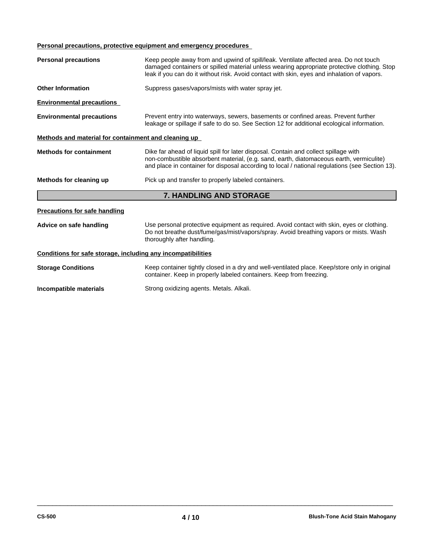# **Personal precautions, protective equipment and emergency procedures**

| <b>Personal precautions</b>                                                   | Keep people away from and upwind of spill/leak. Ventilate affected area. Do not touch<br>damaged containers or spilled material unless wearing appropriate protective clothing. Stop<br>leak if you can do it without risk. Avoid contact with skin, eyes and inhalation of vapors. |  |  |  |
|-------------------------------------------------------------------------------|-------------------------------------------------------------------------------------------------------------------------------------------------------------------------------------------------------------------------------------------------------------------------------------|--|--|--|
| Suppress gases/vapors/mists with water spray jet.<br><b>Other Information</b> |                                                                                                                                                                                                                                                                                     |  |  |  |
| <b>Environmental precautions</b>                                              |                                                                                                                                                                                                                                                                                     |  |  |  |
| <b>Environmental precautions</b>                                              | Prevent entry into waterways, sewers, basements or confined areas. Prevent further<br>leakage or spillage if safe to do so. See Section 12 for additional ecological information.                                                                                                   |  |  |  |
| Methods and material for containment and cleaning up                          |                                                                                                                                                                                                                                                                                     |  |  |  |
| <b>Methods for containment</b>                                                | Dike far ahead of liquid spill for later disposal. Contain and collect spillage with<br>non-combustible absorbent material, (e.g. sand, earth, diatomaceous earth, vermiculite)<br>and place in container for disposal according to local / national regulations (see Section 13).  |  |  |  |
| Methods for cleaning up                                                       | Pick up and transfer to properly labeled containers.                                                                                                                                                                                                                                |  |  |  |
|                                                                               | 7. HANDLING AND STORAGE                                                                                                                                                                                                                                                             |  |  |  |
| <b>Precautions for safe handling</b>                                          |                                                                                                                                                                                                                                                                                     |  |  |  |
| Advice on safe handling                                                       | Use personal protective equipment as required. Avoid contact with skin, eyes or clothing.<br>Do not breathe dust/fume/gas/mist/vapors/spray. Avoid breathing vapors or mists. Wash<br>thoroughly after handling.                                                                    |  |  |  |
| Conditions for safe storage, including any incompatibilities                  |                                                                                                                                                                                                                                                                                     |  |  |  |
| <b>Storage Conditions</b>                                                     | Keep container tightly closed in a dry and well-ventilated place. Keep/store only in original<br>container. Keep in properly labeled containers. Keep from freezing.                                                                                                                |  |  |  |
| Incompatible materials                                                        | Strong oxidizing agents. Metals. Alkali.                                                                                                                                                                                                                                            |  |  |  |
|                                                                               |                                                                                                                                                                                                                                                                                     |  |  |  |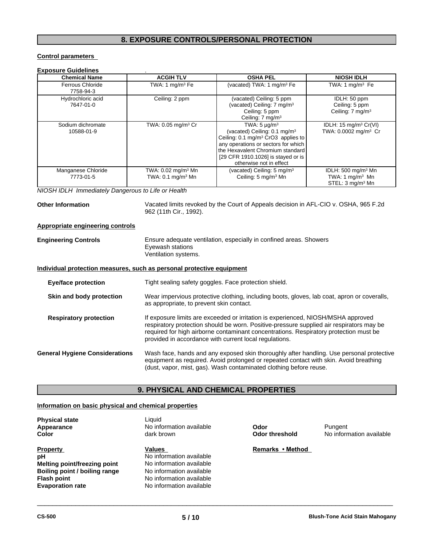# **8. EXPOSURE CONTROLS/PERSONAL PROTECTION**

#### **Control parameters**

| <b>Chemical Name</b>                               | <b>ACGIH TLV</b>                                               | <b>OSHA PEL</b>                                                                                                                                                                                                                                              | <b>NIOSH IDLH</b>                                                                            |
|----------------------------------------------------|----------------------------------------------------------------|--------------------------------------------------------------------------------------------------------------------------------------------------------------------------------------------------------------------------------------------------------------|----------------------------------------------------------------------------------------------|
| <b>Ferrous Chloride</b><br>7758-94-3               | TWA: 1 mg/m <sup>3</sup> Fe                                    | (vacated) TWA: 1 mg/m <sup>3</sup> Fe                                                                                                                                                                                                                        | TWA: 1 $mg/m3$ Fe                                                                            |
| Hydrochloric acid<br>7647-01-0                     | Ceiling: 2 ppm                                                 | (vacated) Ceiling: 5 ppm<br>(vacated) Ceiling: 7 mg/m <sup>3</sup><br>Ceiling: 5 ppm<br>Ceiling: 7 mg/m <sup>3</sup>                                                                                                                                         | IDLH: 50 ppm<br>Ceiling: 5 ppm<br>Ceiling: $7 \text{ mg/m}^3$                                |
| Sodium dichromate<br>10588-01-9                    | TWA: 0.05 mg/m <sup>3</sup> Cr                                 | TWA: $5 \mu g/m^3$<br>(vacated) Ceiling: 0.1 mg/m <sup>3</sup><br>Ceiling: 0.1 mg/m <sup>3</sup> CrO3 applies to<br>any operations or sectors for which<br>the Hexavalent Chromium standard<br>[29 CFR 1910.1026] is stayed or is<br>otherwise not in effect | IDLH: $15 \text{ mg/m}^3 \text{ Cr(VI)}$<br>TWA: 0.0002 mg/m <sup>3</sup> Cr                 |
| Manganese Chloride<br>7773-01-5                    | TWA: 0.02 mg/m <sup>3</sup> Mn<br>TWA: $0.1 \text{ mg/m}^3$ Mn | (vacated) Ceiling: $5 \text{ mg/m}^3$<br>Ceiling: 5 mg/m <sup>3</sup> Mn                                                                                                                                                                                     | IDLH: $500 \text{ mg/m}^3$ Mn<br>TWA: 1 mg/m <sup>3</sup> Mn<br>STEL: 3 mg/m <sup>3</sup> Mn |
| NIOSH IDLH Immediately Dangerous to Life or Health |                                                                |                                                                                                                                                                                                                                                              |                                                                                              |
| <b>Other Information</b>                           | 962 (11th Cir., 1992).                                         | Vacated limits revoked by the Court of Appeals decision in AFL-CIO v. OSHA, 965 F.2d                                                                                                                                                                         |                                                                                              |
| Appropriate engineering controls                   |                                                                |                                                                                                                                                                                                                                                              |                                                                                              |

| <b>Engineering Controls</b> | Ensure adequate ventilation, especially in confined areas. Showers |
|-----------------------------|--------------------------------------------------------------------|
|                             | Eyewash stations                                                   |
|                             | Ventilation systems.                                               |

#### **Individual protection measures, such as personal protective equipment**

| <b>Eye/face protection</b>            | Tight sealing safety goggles. Face protection shield.                                                                                                                                                                                                                                                                            |
|---------------------------------------|----------------------------------------------------------------------------------------------------------------------------------------------------------------------------------------------------------------------------------------------------------------------------------------------------------------------------------|
| Skin and body protection              | Wear impervious protective clothing, including boots, gloves, lab coat, apron or coveralls,<br>as appropriate, to prevent skin contact.                                                                                                                                                                                          |
| <b>Respiratory protection</b>         | If exposure limits are exceeded or irritation is experienced, NIOSH/MSHA approved<br>respiratory protection should be worn. Positive-pressure supplied air respirators may be<br>required for high airborne contaminant concentrations. Respiratory protection must be<br>provided in accordance with current local regulations. |
| <b>General Hygiene Considerations</b> | Wash face, hands and any exposed skin thoroughly after handling. Use personal protective<br>equipment as required. Avoid prolonged or repeated contact with skin. Avoid breathing<br>(dust, vapor, mist, gas). Wash contaminated clothing before reuse.                                                                          |

# **9. PHYSICAL AND CHEMICAL PROPERTIES**

### **Information on basic physical and chemical properties**

| <b>Physical state</b>         | Liauid                   |                  |                          |
|-------------------------------|--------------------------|------------------|--------------------------|
| Appearance                    | No information available | Odor             | Pungent                  |
| <b>Color</b>                  | dark brown               | Odor threshold   | No information available |
| <b>Property</b>               | <b>Values</b>            | Remarks • Method |                          |
| рH                            | No information available |                  |                          |
| Melting point/freezing point  | No information available |                  |                          |
| Boiling point / boiling range | No information available |                  |                          |
| <b>Flash point</b>            | No information available |                  |                          |
| <b>Evaporation rate</b>       | No information available |                  |                          |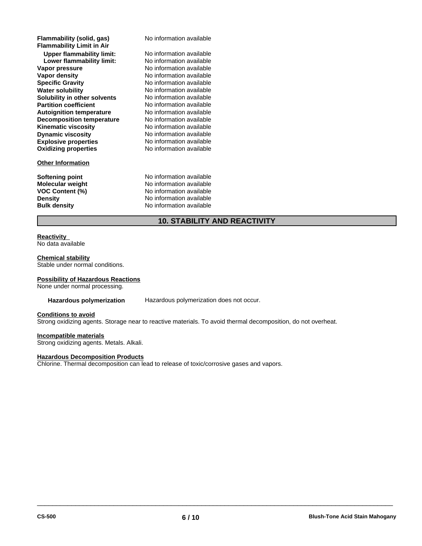| Flammability (solid, gas)<br><b>Flammability Limit in Air</b> | No information available |  |
|---------------------------------------------------------------|--------------------------|--|
| <b>Upper flammability limit:</b>                              | No information available |  |
| Lower flammability limit:                                     | No information available |  |
| Vapor pressure                                                | No information available |  |
| Vapor density                                                 | No information available |  |
| <b>Specific Gravity</b>                                       | No information available |  |
| <b>Water solubility</b>                                       | No information available |  |
| Solubility in other solvents                                  | No information available |  |
| <b>Partition coefficient</b>                                  | No information available |  |
| <b>Autoignition temperature</b>                               | No information available |  |
| <b>Decomposition temperature</b>                              | No information available |  |
| <b>Kinematic viscosity</b>                                    | No information available |  |
| <b>Dynamic viscosity</b>                                      | No information available |  |
| <b>Explosive properties</b>                                   | No information available |  |
| <b>Oxidizing properties</b>                                   | No information available |  |
| <b>Other Information</b>                                      |                          |  |
| Softening point                                               | No information available |  |
| <b>Molecular weight</b>                                       | No information available |  |
| <b>VOC Content (%)</b>                                        | No information available |  |
| <b>Density</b>                                                | No information available |  |
| <b>Bulk density</b>                                           | No information available |  |
|                                                               |                          |  |

# **10. STABILITY AND REACTIVITY**

# **Reactivity**

No data available

**Chemical stability** Stable under normal conditions.

#### **Possibility of Hazardous Reactions**

None under normal processing.

**Hazardous polymerization** Hazardous polymerization does not occur.

#### **Conditions to avoid**

Strong oxidizing agents. Storage near to reactive materials. To avoid thermal decomposition, do not overheat.

#### **Incompatible materials**

Strong oxidizing agents. Metals. Alkali.

#### **Hazardous Decomposition Products**

Chlorine. Thermal decomposition can lead to release of toxic/corrosive gases and vapors.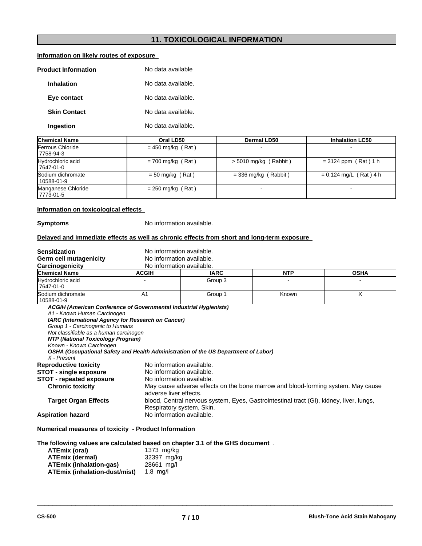# **11. TOXICOLOGICAL INFORMATION**

# **Information on likely routes of exposure**

| <b>Product Information</b> | No data available  |  |
|----------------------------|--------------------|--|
| <b>Inhalation</b>          | No data available. |  |
| Eye contact                | No data available. |  |
| <b>Skin Contact</b>        | No data available. |  |
| Ingestion                  | No data available. |  |

| <b>Chemical Name</b>              | Oral LD50           | Dermal LD50             | <b>Inhalation LC50</b>   |
|-----------------------------------|---------------------|-------------------------|--------------------------|
| Ferrous Chloride<br>17758-94-3    | $= 450$ mg/kg (Rat) |                         |                          |
| Hydrochloric acid<br>17647-01-0   | $= 700$ mg/kg (Rat) | $>$ 5010 mg/kg (Rabbit) | $= 3124$ ppm (Rat) 1 h   |
| Sodium dichromate<br>  10588-01-9 | $= 50$ mg/kg (Rat)  | $=$ 336 mg/kg (Rabbit)  | $= 0.124$ mg/L (Rat) 4 h |
| Manganese Chloride<br>  7773-01-5 | $= 250$ mg/kg (Rat) |                         |                          |

#### **Information on toxicological effects**

**Symptoms** No information available.

#### **Delayed and immediate effects as well as chronic effects from short and long-term exposure**

| <b>Sensitization</b>                                                                                                                                                                      | No information available.                                                                                                                |                                                                                                                      |            |             |  |
|-------------------------------------------------------------------------------------------------------------------------------------------------------------------------------------------|------------------------------------------------------------------------------------------------------------------------------------------|----------------------------------------------------------------------------------------------------------------------|------------|-------------|--|
| Germ cell mutagenicity                                                                                                                                                                    | No information available.                                                                                                                |                                                                                                                      |            |             |  |
| Carcinogenicity                                                                                                                                                                           | No information available.                                                                                                                |                                                                                                                      |            |             |  |
| <b>Chemical Name</b>                                                                                                                                                                      | <b>ACGIH</b>                                                                                                                             | <b>IARC</b>                                                                                                          | <b>NTP</b> | <b>OSHA</b> |  |
| Hydrochloric acid<br>7647-01-0                                                                                                                                                            |                                                                                                                                          | Group 3                                                                                                              |            |             |  |
| <b>Sodium dichromate</b><br>10588-01-9                                                                                                                                                    | A <sub>1</sub>                                                                                                                           | Group 1                                                                                                              | Known      | X           |  |
| A1 - Known Human Carcinogen<br>Group 1 - Carcinogenic to Humans<br>Not classifiable as a human carcinogen<br>NTP (National Toxicology Program)<br>Known - Known Carcinogen<br>X - Present | IARC (International Agency for Research on Cancer)<br>OSHA (Occupational Safety and Health Administration of the US Department of Labor) |                                                                                                                      |            |             |  |
| <b>Reproductive toxicity</b><br><b>STOT - single exposure</b><br><b>STOT - repeated exposure</b>                                                                                          | No information available.<br>No information available.<br>No information available.                                                      |                                                                                                                      |            |             |  |
| <b>Chronic toxicity</b>                                                                                                                                                                   |                                                                                                                                          | May cause adverse effects on the bone marrow and blood-forming system. May cause<br>adverse liver effects.           |            |             |  |
| <b>Target Organ Effects</b>                                                                                                                                                               |                                                                                                                                          | blood, Central nervous system, Eyes, Gastrointestinal tract (GI), kidney, liver, lungs,<br>Respiratory system, Skin. |            |             |  |
| <b>Aspiration hazard</b>                                                                                                                                                                  | No information available.                                                                                                                |                                                                                                                      |            |             |  |
| Numerical measures of toxicity - Product Information                                                                                                                                      |                                                                                                                                          |                                                                                                                      |            |             |  |

**The following values are calculated based on chapter 3.1 of the GHS document** .

| ATEmix (oral)                 | 1373 mg/kg  |
|-------------------------------|-------------|
| <b>ATEmix (dermal)</b>        | 32397 mg/kg |
| ATEmix (inhalation-gas)       | 28661 ma/l  |
| ATEmix (inhalation-dust/mist) | $1.8$ ma/l  |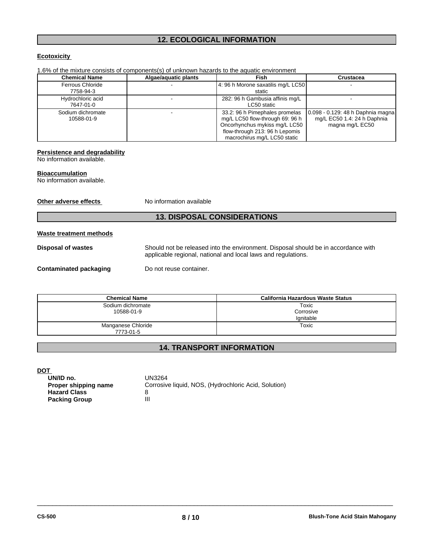# **12. ECOLOGICAL INFORMATION**

### **Ecotoxicity**

| <b>Chemical Name</b>    | Algae/aquatic plants | Fish                               | Crustacea                         |
|-------------------------|----------------------|------------------------------------|-----------------------------------|
| <b>Ferrous Chloride</b> |                      | 4: 96 h Morone saxatilis mg/L LC50 |                                   |
| 7758-94-3               |                      | static                             |                                   |
| Hydrochloric acid       |                      | 282: 96 h Gambusia affinis mg/L    |                                   |
| 7647-01-0               |                      | LC50 static                        |                                   |
| Sodium dichromate       |                      | 33.2: 96 h Pimephales promelas     | 0.098 - 0.129: 48 h Daphnia magna |
| 10588-01-9              |                      | mg/L LC50 flow-through 69: 96 h    | mg/L EC50 1.4: 24 h Daphnia       |
|                         |                      | Oncorhynchus mykiss mg/L LC50      | magna mg/L EC50                   |
|                         |                      | flow-through 213: 96 h Lepomis     |                                   |
|                         |                      | macrochirus mg/L LC50 static       |                                   |

1.6% of the mixture consists of components(s) of unknown hazards to the aquatic environment

#### **Persistence and degradability**

No information available.

#### **Bioaccumulation**

No information available.

**Other adverse effects** No information available

# **13. DISPOSAL CONSIDERATIONS**

#### **Waste treatment methods**

**Disposal of wastes** Should not be released into the environment. Disposal should be in accordance with applicable regional, national and local laws and regulations.

**Contaminated packaging Do not reuse container.** 

| <b>Chemical Name</b> | California Hazardous Waste Status |
|----------------------|-----------------------------------|
| Sodium dichromate    | Toxic                             |
| 10588-01-9           | Corrosive                         |
|                      | lanitable                         |
| Manganese Chloride   | Toxic                             |
| 7773-01-5            |                                   |

# **14. TRANSPORT INFORMATION**

**DOT** 

| - -<br>UN/ID no.     | UN3264                                               |
|----------------------|------------------------------------------------------|
| Proper shipping name | Corrosive liquid, NOS, (Hydrochloric Acid, Solution) |
| <b>Hazard Class</b>  |                                                      |
| <b>Packing Group</b> | Ш                                                    |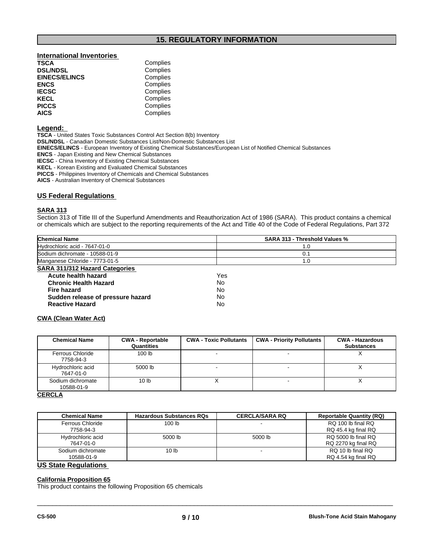# **15. REGULATORY INFORMATION**

# **International Inventories TSCA** Complies<br> **DSL/NDSL** Complies

| <b>EINECS/ELINCS</b> | Complies |
|----------------------|----------|
| <b>ENCS</b>          | Complies |
| <b>IECSC</b>         | Complies |
| <b>KECL</b>          | Complies |
| <b>PICCS</b>         | Complies |
| <b>AICS</b>          | Complies |

#### **Legend:**

**TSCA** - United States Toxic Substances Control Act Section 8(b) Inventory

**DSL/NDSL** - Canadian Domestic Substances List/Non-Domestic Substances List

**Complies** 

**EINECS/ELINCS** - European Inventory of Existing Chemical Substances/European List of Notified Chemical Substances

**ENCS** - Japan Existing and New Chemical Substances

**IECSC** - China Inventory of Existing Chemical Substances

**KECL** - Korean Existing and Evaluated Chemical Substances

**PICCS** - Philippines Inventory of Chemicals and Chemical Substances

**AICS** - Australian Inventory of Chemical Substances

#### **US Federal Regulations**

#### **SARA 313**

Section 313 of Title III of the Superfund Amendments and Reauthorization Act of 1986 (SARA). This product contains a chemical or chemicals which are subject to the reporting requirements of the Act and Title 40 of the Code of Federal Regulations, Part 372

| <b>Chemical Name</b>                                                                                            | <b>SARA 313 - Threshold Values %</b> |
|-----------------------------------------------------------------------------------------------------------------|--------------------------------------|
| Hydrochloric acid - 7647-01-0                                                                                   | l .U                                 |
| Sodium dichromate - 10588-01-9                                                                                  |                                      |
| Manganese Chloride - 7773-01-5                                                                                  | .0                                   |
| <b>SARA 311/312 Hazard Categories</b>                                                                           |                                      |
| the contract of the contract of the contract of the contract of the contract of the contract of the contract of | $\ddot{\phantom{1}}$                 |

| Yes |  |
|-----|--|
| N٥  |  |
| No  |  |
| No  |  |
| N٥  |  |
|     |  |

#### **CWA (Clean Water Act)**

| <b>Chemical Name</b>            | <b>CWA - Reportable</b><br>Quantities | <b>CWA - Toxic Pollutants</b> | <b>CWA - Priority Pollutants</b> | <b>CWA - Hazardous</b><br><b>Substances</b> |
|---------------------------------|---------------------------------------|-------------------------------|----------------------------------|---------------------------------------------|
| Ferrous Chloride<br>7758-94-3   | 100 <sub>lb</sub>                     |                               |                                  |                                             |
| Hydrochloric acid<br>7647-01-0  | 5000 lb                               |                               |                                  |                                             |
| Sodium dichromate<br>10588-01-9 | 10 <sub>lb</sub>                      |                               |                                  | $\lambda$                                   |

### **CERCLA**

| <b>Chemical Name</b> | <b>Hazardous Substances RQs</b> | <b>CERCLA/SARA RQ</b> | <b>Reportable Quantity (RQ)</b> |
|----------------------|---------------------------------|-----------------------|---------------------------------|
| Ferrous Chloride     | 100 lb                          |                       | RQ 100 lb final RQ              |
| 7758-94-3            |                                 |                       | RQ 45.4 kg final RQ             |
| Hydrochloric acid    | 5000 lb                         | 5000 lb               | RQ 5000 lb final RQ             |
| 7647-01-0            |                                 |                       | RQ 2270 kg final RQ             |
| Sodium dichromate    | 10 lb                           |                       | RQ 10 lb final RQ               |
| 10588-01-9           |                                 |                       | RQ 4.54 kg final RQ             |

 $\overline{\phantom{a}}$  ,  $\overline{\phantom{a}}$  ,  $\overline{\phantom{a}}$  ,  $\overline{\phantom{a}}$  ,  $\overline{\phantom{a}}$  ,  $\overline{\phantom{a}}$  ,  $\overline{\phantom{a}}$  ,  $\overline{\phantom{a}}$  ,  $\overline{\phantom{a}}$  ,  $\overline{\phantom{a}}$  ,  $\overline{\phantom{a}}$  ,  $\overline{\phantom{a}}$  ,  $\overline{\phantom{a}}$  ,  $\overline{\phantom{a}}$  ,  $\overline{\phantom{a}}$  ,  $\overline{\phantom{a}}$ 

#### **US State Regulations**

#### **California Proposition 65**

This product contains the following Proposition 65 chemicals